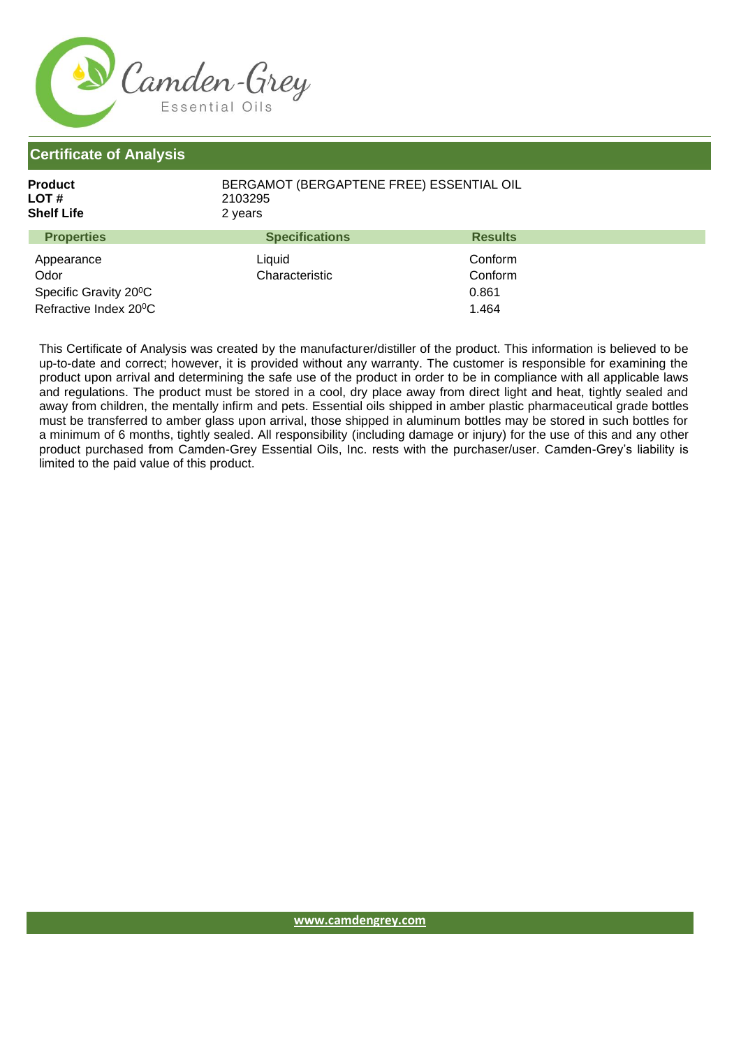

**Certificate of Analysis**

| Product<br>LOT #<br><b>Shelf Life</b> | 2103295<br>2 years    | BERGAMOT (BERGAPTENE FREE) ESSENTIAL OIL |  |
|---------------------------------------|-----------------------|------------------------------------------|--|
| <b>Properties</b>                     | <b>Specifications</b> | <b>Results</b>                           |  |
| Appearance                            | Liquid                | Conform                                  |  |
| Odor                                  | Characteristic        | Conform                                  |  |
| Specific Gravity 20°C                 |                       | 0.861                                    |  |
| Refractive Index 20°C                 |                       | 1.464                                    |  |

This Certificate of Analysis was created by the manufacturer/distiller of the product. This information is believed to be up-to-date and correct; however, it is provided without any warranty. The customer is responsible for examining the product upon arrival and determining the safe use of the product in order to be in compliance with all applicable laws and regulations. The product must be stored in a cool, dry place away from direct light and heat, tightly sealed and away from children, the mentally infirm and pets. Essential oils shipped in amber plastic pharmaceutical grade bottles must be transferred to amber glass upon arrival, those shipped in aluminum bottles may be stored in such bottles for a minimum of 6 months, tightly sealed. All responsibility (including damage or injury) for the use of this and any other product purchased from Camden-Grey Essential Oils, Inc. rests with the purchaser/user. Camden-Grey's liability is limited to the paid value of this product.